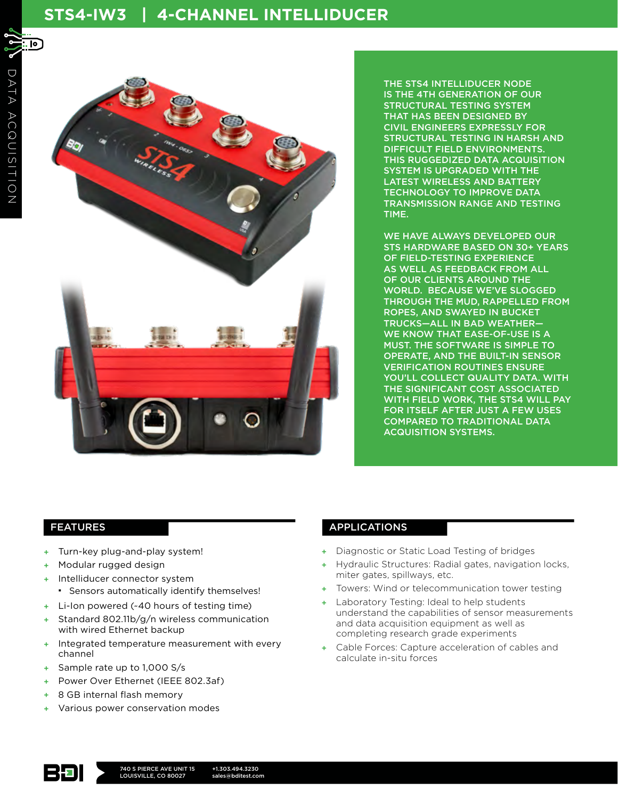# **STS4-IW3 | 4-CHANNEL INTELLIDUCER**



THE STS4 INTELLIDUCER NODE IS THE 4TH GENERATION OF OUR STRUCTURAL TESTING SYSTEM THAT HAS BEEN DESIGNED BY CIVIL ENGINEERS EXPRESSLY FOR STRUCTURAL TESTING IN HARSH AND DIFFICULT FIELD ENVIRONMENTS. THIS RUGGEDIZED DATA ACQUISITION SYSTEM IS UPGRADED WITH THE LATEST WIRELESS AND BATTERY TECHNOLOGY TO IMPROVE DATA TRANSMISSION RANGE AND TESTING TIME.

WE HAVE ALWAYS DEVELOPED OUR STS HARDWARE BASED ON 30+ YEARS OF FIELD-TESTING EXPERIENCE AS WELL AS FEEDBACK FROM ALL OF OUR CLIENTS AROUND THE WORLD. BECAUSE WE'VE SLOGGED THROUGH THE MUD, RAPPELLED FROM ROPES, AND SWAYED IN BUCKET TRUCKS—ALL IN BAD WEATHER— WE KNOW THAT EASE-OF-USE IS A MUST. THE SOFTWARE IS SIMPLE TO OPERATE, AND THE BUILT-IN SENSOR VERIFICATION ROUTINES ENSURE YOU'LL COLLECT QUALITY DATA. WITH THE SIGNIFICANT COST ASSOCIATED WITH FIELD WORK, THE STS4 WILL PAY FOR ITSELF AFTER JUST A FEW USES COMPARED TO TRADITIONAL DATA ACQUISITION SYSTEMS.

- + Turn-key plug-and-play system!
- + Modular rugged design
- Intelliducer connector system
	- Sensors automatically identify themselves!
- + Li-Ion powered (~40 hours of testing time)
- Standard 802.11b/g/n wireless communication with wired Ethernet backup
- + Integrated temperature measurement with every channel
- Sample rate up to 1,000 S/s
- Power Over Ethernet (IEEE 802.3af)
- 8 GB internal flash memory
- + Various power conservation modes

# FEATURES **APPLICATIONS**

- Diagnostic or Static Load Testing of bridges
- + Hydraulic Structures: Radial gates, navigation locks, miter gates, spillways, etc.
- + Towers: Wind or telecommunication tower testing
- Laboratory Testing: Ideal to help students understand the capabilities of sensor measurements and data acquisition equipment as well as completing research grade experiments
- + Cable Forces: Capture acceleration of cables and calculate in-situ forces

<u>. Io J</u>

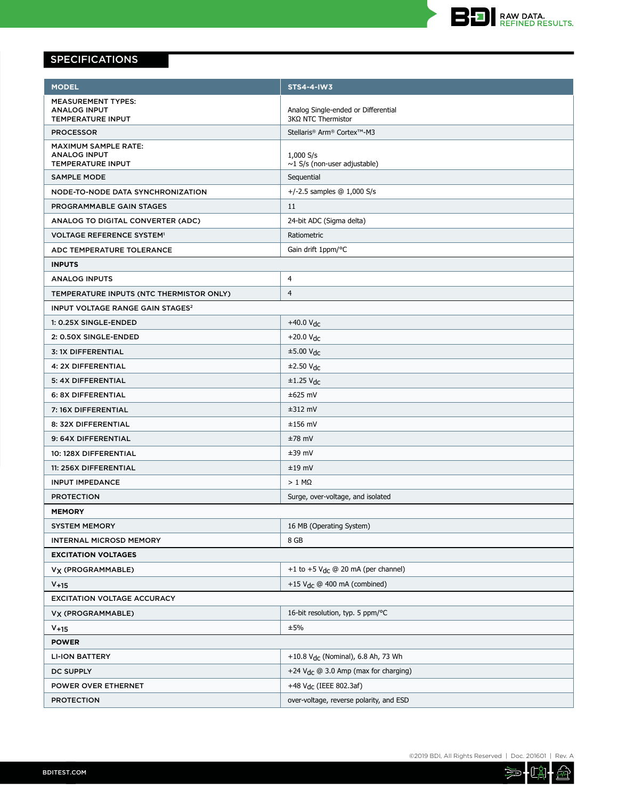

# SPECIFICATIONS

| <b>MODEL</b>                                       | <b>STS4-4-IW3</b>                                         |
|----------------------------------------------------|-----------------------------------------------------------|
| <b>MEASUREMENT TYPES:</b>                          |                                                           |
| <b>ANALOG INPUT</b><br>TEMPERATURE INPUT           | Analog Single-ended or Differential<br>3KΩ NTC Thermistor |
| <b>PROCESSOR</b>                                   | Stellaris® Arm® Cortex™-M3                                |
| <b>MAXIMUM SAMPLE RATE:</b>                        |                                                           |
| <b>ANALOG INPUT</b><br>TEMPERATURE INPUT           | 1,000 S/s<br>$\sim$ 1 S/s (non-user adjustable)           |
| <b>SAMPLE MODE</b>                                 | Sequential                                                |
| NODE-TO-NODE DATA SYNCHRONIZATION                  | +/-2.5 samples $@ 1,000 S/s$                              |
| PROGRAMMABLE GAIN STAGES                           | 11                                                        |
| ANALOG TO DIGITAL CONVERTER (ADC)                  | 24-bit ADC (Sigma delta)                                  |
| <b>VOLTAGE REFERENCE SYSTEM<sup>1</sup></b>        | Ratiometric                                               |
| ADC TEMPERATURE TOLERANCE                          | Gain drift 1ppm/°C                                        |
| <b>INPUTS</b>                                      |                                                           |
| <b>ANALOG INPUTS</b>                               | 4                                                         |
| TEMPERATURE INPUTS (NTC THERMISTOR ONLY)           | 4                                                         |
| <b>INPUT VOLTAGE RANGE GAIN STAGES<sup>2</sup></b> |                                                           |
| 1: 0.25X SINGLE-ENDED                              | $+40.0 V_{dc}$                                            |
| 2: 0.50X SINGLE-ENDED                              | $+20.0 V_{dc}$                                            |
| <b>3: 1X DIFFERENTIAL</b>                          | $\pm$ 5.00 V <sub>dc</sub>                                |
| 4: 2X DIFFERENTIAL                                 | $±2.50$ V <sub>dc</sub>                                   |
| 5: 4X DIFFERENTIAL                                 | $±1.25$ V <sub>dc</sub>                                   |
| 6: 8X DIFFERENTIAL                                 | $±625$ mV                                                 |
| 7: 16X DIFFERENTIAL                                | $±312$ mV                                                 |
| 8: 32X DIFFERENTIAL                                | $±156$ mV                                                 |
| 9: 64X DIFFERENTIAL                                | $±78$ mV                                                  |
| 10: 128X DIFFERENTIAL                              | $±39$ mV                                                  |
| 11: 256X DIFFERENTIAL                              | $±19$ mV                                                  |
| <b>INPUT IMPEDANCE</b>                             | $> 1$ M $\Omega$                                          |
| <b>PROTECTION</b>                                  | Surge, over-voltage, and isolated                         |
| <b>MEMORY</b>                                      |                                                           |
| <b>SYSTEM MEMORY</b>                               | 16 MB (Operating System)                                  |
| <b>INTERNAL MICROSD MEMORY</b>                     | 8 GB                                                      |
| <b>EXCITATION VOLTAGES</b>                         |                                                           |
| V <sub>X</sub> (PROGRAMMABLE)                      | +1 to +5 $V_{dc}$ @ 20 mA (per channel)                   |
| $V + 15$                                           | +15 $V_{\text{dc}}$ @ 400 mA (combined)                   |
| <b>EXCITATION VOLTAGE ACCURACY</b>                 |                                                           |
| V <sub>X</sub> (PROGRAMMABLE)                      | 16-bit resolution, typ. 5 ppm/°C                          |
| $V+15$                                             | ±5%                                                       |
| <b>POWER</b>                                       |                                                           |
| <b>LI-ION BATTERY</b>                              | +10.8 $V_{dc}$ (Nominal), 6.8 Ah, 73 Wh                   |
| <b>DC SUPPLY</b>                                   | +24 $V_{dc}$ @ 3.0 Amp (max for charging)                 |
| POWER OVER ETHERNET                                | +48 V <sub>dc</sub> (IEEE 802.3af)                        |
| <b>PROTECTION</b>                                  | over-voltage, reverse polarity, and ESD                   |

 $\widehat{\widetilde{\mathbb{F}}}$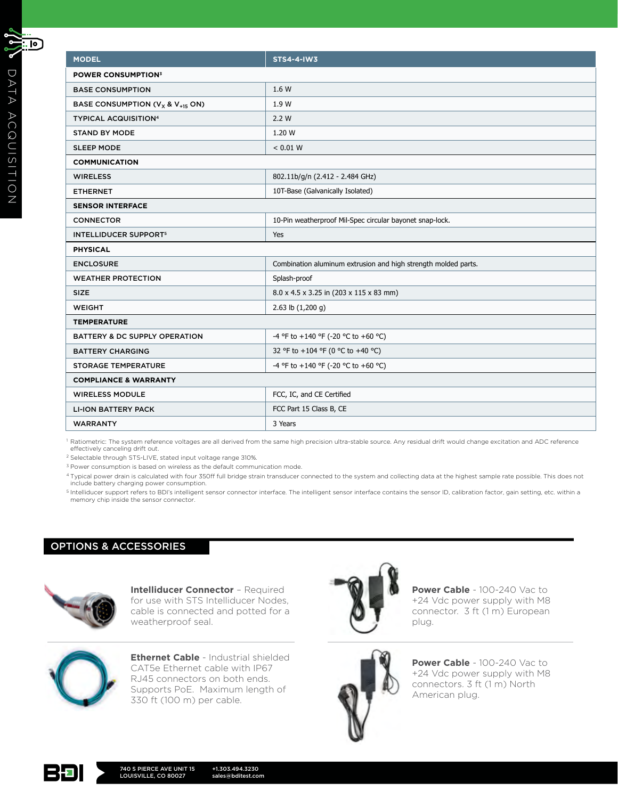| <b>MODEL</b>                             | <b>STS4-4-IW3</b>                                              |
|------------------------------------------|----------------------------------------------------------------|
| <b>POWER CONSUMPTION3</b>                |                                                                |
| <b>BASE CONSUMPTION</b>                  | 1.6 W                                                          |
| BASE CONSUMPTION ( $V_X$ & $V_{+15}$ ON) | 1.9 W                                                          |
| <b>TYPICAL ACQUISITION4</b>              | 2.2 W                                                          |
| <b>STAND BY MODE</b>                     | 1.20 W                                                         |
| <b>SLEEP MODE</b>                        | < 0.01 W                                                       |
| <b>COMMUNICATION</b>                     |                                                                |
| <b>WIRELESS</b>                          | 802.11b/g/n (2.412 - 2.484 GHz)                                |
| <b>ETHERNET</b>                          | 10T-Base (Galvanically Isolated)                               |
| <b>SENSOR INTERFACE</b>                  |                                                                |
| <b>CONNECTOR</b>                         | 10-Pin weatherproof Mil-Spec circular bayonet snap-lock.       |
| <b>INTELLIDUCER SUPPORT<sup>5</sup></b>  | Yes                                                            |
| <b>PHYSICAL</b>                          |                                                                |
| <b>ENCLOSURE</b>                         | Combination aluminum extrusion and high strength molded parts. |
| <b>WEATHER PROTECTION</b>                | Splash-proof                                                   |
| <b>SIZE</b>                              | 8.0 x 4.5 x 3.25 in (203 x 115 x 83 mm)                        |
| <b>WEIGHT</b>                            | 2.63 lb $(1,200 g)$                                            |
| <b>TEMPERATURE</b>                       |                                                                |
| BATTERY & DC SUPPLY OPERATION            | -4 °F to +140 °F (-20 °C to +60 °C)                            |
| <b>BATTERY CHARGING</b>                  | 32 °F to +104 °F (0 °C to +40 °C)                              |
| <b>STORAGE TEMPERATURE</b>               | -4 °F to +140 °F (-20 °C to +60 °C)                            |
| <b>COMPLIANCE &amp; WARRANTY</b>         |                                                                |
| <b>WIRELESS MODULE</b>                   | FCC, IC, and CE Certified                                      |
| <b>LI-ION BATTERY PACK</b>               | FCC Part 15 Class B, CE                                        |
| <b>WARRANTY</b>                          | 3 Years                                                        |
|                                          |                                                                |

<sup>1</sup> Ratiometric: The system reference voltages are all derived from the same high precision ultra-stable source. Any residual drift would change excitation and ADC reference effectively canceling drift out.

<sup>2</sup> Selectable through STS-LIVE, stated input voltage range 310%.

<sup>3</sup> Power consumption is based on wireless as the default communication mode.

4 Typical power drain is calculated with four 350ff full bridge strain transducer connected to the system and collecting data at the highest sample rate possible. This does not include battery charging power consumption.

5 Intelliducer support refers to BDI's intelligent sensor connector interface. The intelligent sensor interface contains the sensor ID, calibration factor, gain setting, etc. within a memory chip inside the sensor connector.

# OPTIONS & ACCESSORIES



**Intelliducer Connector** – Required for use with STS Intelliducer Nodes, cable is connected and potted for a weatherproof seal.



**Ethernet Cable** - Industrial shielded CAT5e Ethernet cable with IP67 RJ45 connectors on both ends. Supports PoE. Maximum length of 330 ft (100 m) per cable.



**Power Cable** - 100-240 Vac to +24 Vdc power supply with M8 connector. 3 ft (1 m) European plug.



**Power Cable** - 100-240 Vac to +24 Vdc power supply with M8 connectors. 3 ft (1 m) North American plug.



 $\mathcal{C}[\mathfrak{p}]$ 

 $\Box$